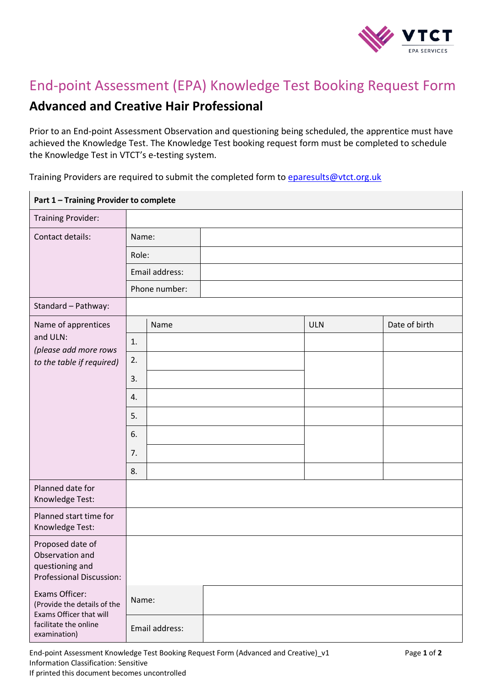

## End-point Assessment (EPA) Knowledge Test Booking Request Form

## **Advanced and Creative Hair Professional**

Prior to an End-point Assessment Observation and questioning being scheduled, the apprentice must have achieved the Knowledge Test. The Knowledge Test booking request form must be completed to schedule the Knowledge Test in VTCT's e-testing system.

Training Providers are required to submit the completed form to [eparesults@vtct.org.uk](mailto:eparesults@vtct.org.uk)

| Part 1 - Training Provider to complete                                                                            |                |                |  |            |               |  |  |  |
|-------------------------------------------------------------------------------------------------------------------|----------------|----------------|--|------------|---------------|--|--|--|
| <b>Training Provider:</b>                                                                                         |                |                |  |            |               |  |  |  |
| Contact details:                                                                                                  | Name:          |                |  |            |               |  |  |  |
|                                                                                                                   | Role:          |                |  |            |               |  |  |  |
|                                                                                                                   | Email address: |                |  |            |               |  |  |  |
|                                                                                                                   | Phone number:  |                |  |            |               |  |  |  |
| Standard - Pathway:                                                                                               |                |                |  |            |               |  |  |  |
| Name of apprentices<br>and ULN:<br>(please add more rows<br>to the table if required)                             |                | Name           |  | <b>ULN</b> | Date of birth |  |  |  |
|                                                                                                                   | 1.             |                |  |            |               |  |  |  |
|                                                                                                                   | 2.             |                |  |            |               |  |  |  |
|                                                                                                                   | 3.             |                |  |            |               |  |  |  |
|                                                                                                                   | 4.             |                |  |            |               |  |  |  |
|                                                                                                                   | 5.             |                |  |            |               |  |  |  |
|                                                                                                                   | 6.             |                |  |            |               |  |  |  |
|                                                                                                                   | 7.             |                |  |            |               |  |  |  |
|                                                                                                                   | 8.             |                |  |            |               |  |  |  |
| Planned date for<br>Knowledge Test:                                                                               |                |                |  |            |               |  |  |  |
| Planned start time for<br>Knowledge Test:                                                                         |                |                |  |            |               |  |  |  |
| Proposed date of<br>Observation and<br>questioning and<br>Professional Discussion:                                |                |                |  |            |               |  |  |  |
| Exams Officer:<br>(Provide the details of the<br>Exams Officer that will<br>facilitate the online<br>examination) | Name:          |                |  |            |               |  |  |  |
|                                                                                                                   |                | Email address: |  |            |               |  |  |  |

End-point Assessment Knowledge Test Booking Request Form (Advanced and Creative)\_v1 Page **1** of **2** Information Classification: Sensitive If printed this document becomes uncontrolled